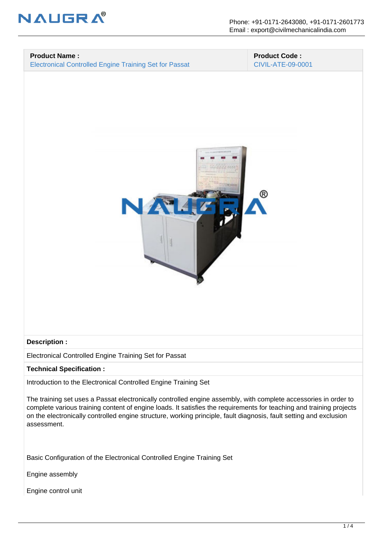

## **Product Name :**

Electronical Controlled Engine Training Set for Passat

 **Product Code :** CIVIL-ATE-09-0001



## **Description :**

Electronical Controlled Engine Training Set for Passat

**Technical Specification :**

Introduction to the Electronical Controlled Engine Training Set

The training set uses a Passat electronically controlled engine assembly, with complete accessories in order to complete various training content of engine loads. It satisfies the requirements for teaching and training projects on the electronically controlled engine structure, working principle, fault diagnosis, fault setting and exclusion assessment.

Basic Configuration of the Electronical Controlled Engine Training Set

Engine assembly

Engine control unit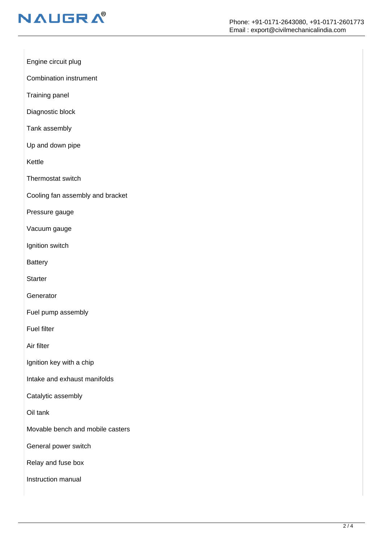

Engine circuit plug

Combination instrument

Training panel

Diagnostic block

Tank assembly

Up and down pipe

Kettle

Thermostat switch

Cooling fan assembly and bracket

Pressure gauge

Vacuum gauge

Ignition switch

**Battery** 

**Starter** 

**Generator** 

Fuel pump assembly

Fuel filter

Air filter

Ignition key with a chip

Intake and exhaust manifolds

Catalytic assembly

Oil tank

Movable bench and mobile casters

General power switch

Relay and fuse box

Instruction manual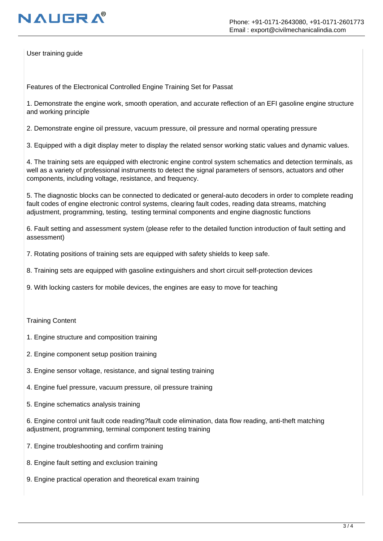

User training guide

Features of the Electronical Controlled Engine Training Set for Passat

1. Demonstrate the engine work, smooth operation, and accurate reflection of an EFI gasoline engine structure and working principle

2. Demonstrate engine oil pressure, vacuum pressure, oil pressure and normal operating pressure

3. Equipped with a digit display meter to display the related sensor working static values and dynamic values.

4. The training sets are equipped with electronic engine control system schematics and detection terminals, as well as a variety of professional instruments to detect the signal parameters of sensors, actuators and other components, including voltage, resistance, and frequency.

5. The diagnostic blocks can be connected to dedicated or general-auto decoders in order to complete reading fault codes of engine electronic control systems, clearing fault codes, reading data streams, matching adjustment, programming, testing, testing terminal components and engine diagnostic functions

6. Fault setting and assessment system (please refer to the detailed function introduction of fault setting and assessment)

7. Rotating positions of training sets are equipped with safety shields to keep safe.

8. Training sets are equipped with gasoline extinguishers and short circuit self-protection devices

9. With locking casters for mobile devices, the engines are easy to move for teaching

Training Content

- 1. Engine structure and composition training
- 2. Engine component setup position training
- 3. Engine sensor voltage, resistance, and signal testing training
- 4. Engine fuel pressure, vacuum pressure, oil pressure training
- 5. Engine schematics analysis training

6. Engine control unit fault code reading?fault code elimination, data flow reading, anti-theft matching adjustment, programming, terminal component testing training

- 7. Engine troubleshooting and confirm training
- 8. Engine fault setting and exclusion training
- 9. Engine practical operation and theoretical exam training